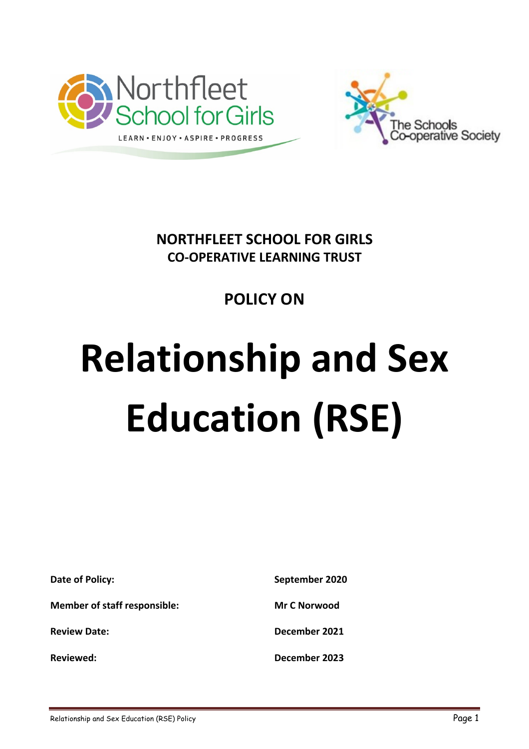



**NORTHFLEET SCHOOL FOR GIRLS CO-OPERATIVE LEARNING TRUST**

# **POLICY ON**

# **Relationship and Sex Education (RSE)**

| Date of Policy:                     | September 2020      |
|-------------------------------------|---------------------|
| <b>Member of staff responsible:</b> | <b>Mr C Norwood</b> |
| <b>Review Date:</b>                 | December 2021       |
| <b>Reviewed:</b>                    | December 2023       |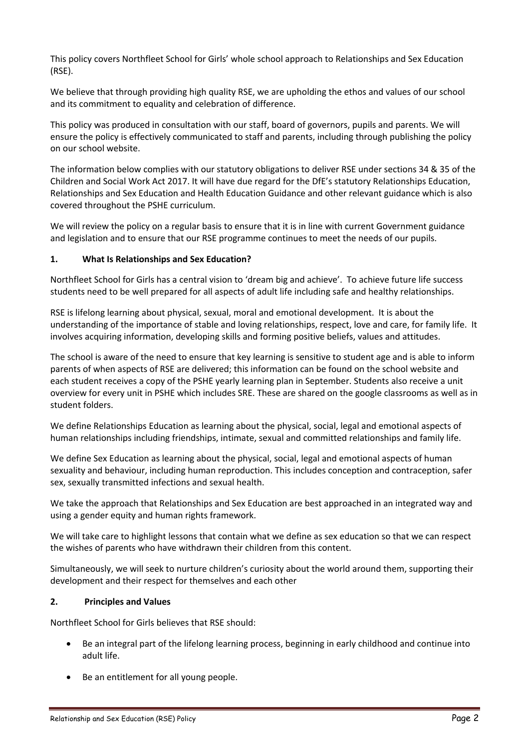This policy covers Northfleet School for Girls' whole school approach to Relationships and Sex Education (RSE).

We believe that through providing high quality RSE, we are upholding the ethos and values of our school and its commitment to equality and celebration of difference.

This policy was produced in consultation with our staff, board of governors, pupils and parents. We will ensure the policy is effectively communicated to staff and parents, including through publishing the policy on our school website.

The information below complies with our statutory obligations to deliver RSE under sections 34 & 35 of the Children and Social Work Act 2017. It will have due regard for the DfE's statutory Relationships Education, Relationships and Sex Education and Health Education Guidance and other relevant guidance which is also covered throughout the PSHE curriculum.

We will review the policy on a regular basis to ensure that it is in line with current Government guidance and legislation and to ensure that our RSE programme continues to meet the needs of our pupils.

# **1. What Is Relationships and Sex Education?**

Northfleet School for Girls has a central vision to 'dream big and achieve'. To achieve future life success students need to be well prepared for all aspects of adult life including safe and healthy relationships.

RSE is lifelong learning about physical, sexual, moral and emotional development. It is about the understanding of the importance of stable and loving relationships, respect, love and care, for family life. It involves acquiring information, developing skills and forming positive beliefs, values and attitudes.

The school is aware of the need to ensure that key learning is sensitive to student age and is able to inform parents of when aspects of RSE are delivered; this information can be found on the school website and each student receives a copy of the PSHE yearly learning plan in September. Students also receive a unit overview for every unit in PSHE which includes SRE. These are shared on the google classrooms as well as in student folders.

We define Relationships Education as learning about the physical, social, legal and emotional aspects of human relationships including friendships, intimate, sexual and committed relationships and family life.

We define Sex Education as learning about the physical, social, legal and emotional aspects of human sexuality and behaviour, including human reproduction. This includes conception and contraception, safer sex, sexually transmitted infections and sexual health.

We take the approach that Relationships and Sex Education are best approached in an integrated way and using a gender equity and human rights framework.

We will take care to highlight lessons that contain what we define as sex education so that we can respect the wishes of parents who have withdrawn their children from this content.

Simultaneously, we will seek to nurture children's curiosity about the world around them, supporting their development and their respect for themselves and each other

#### **2. Principles and Values**

Northfleet School for Girls believes that RSE should:

- Be an integral part of the lifelong learning process, beginning in early childhood and continue into adult life.
- Be an entitlement for all young people.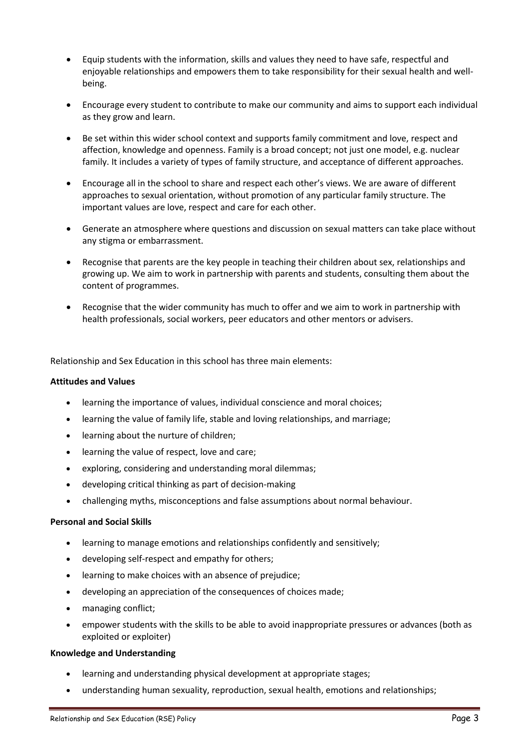- Equip students with the information, skills and values they need to have safe, respectful and enjoyable relationships and empowers them to take responsibility for their sexual health and wellbeing.
- Encourage every student to contribute to make our community and aims to support each individual as they grow and learn.
- Be set within this wider school context and supports family commitment and love, respect and affection, knowledge and openness. Family is a broad concept; not just one model, e.g. nuclear family. It includes a variety of types of family structure, and acceptance of different approaches.
- Encourage all in the school to share and respect each other's views. We are aware of different approaches to sexual orientation, without promotion of any particular family structure. The important values are love, respect and care for each other.
- Generate an atmosphere where questions and discussion on sexual matters can take place without any stigma or embarrassment.
- Recognise that parents are the key people in teaching their children about sex, relationships and growing up. We aim to work in partnership with parents and students, consulting them about the content of programmes.
- Recognise that the wider community has much to offer and we aim to work in partnership with health professionals, social workers, peer educators and other mentors or advisers.

Relationship and Sex Education in this school has three main elements:

#### **Attitudes and Values**

- learning the importance of values, individual conscience and moral choices;
- learning the value of family life, stable and loving relationships, and marriage;
- learning about the nurture of children;
- learning the value of respect, love and care;
- exploring, considering and understanding moral dilemmas;
- developing critical thinking as part of decision-making
- challenging myths, misconceptions and false assumptions about normal behaviour.

#### **Personal and Social Skills**

- learning to manage emotions and relationships confidently and sensitively;
- developing self-respect and empathy for others;
- learning to make choices with an absence of prejudice;
- developing an appreciation of the consequences of choices made;
- managing conflict;
- empower students with the skills to be able to avoid inappropriate pressures or advances (both as exploited or exploiter)

#### **Knowledge and Understanding**

- learning and understanding physical development at appropriate stages;
- understanding human sexuality, reproduction, sexual health, emotions and relationships;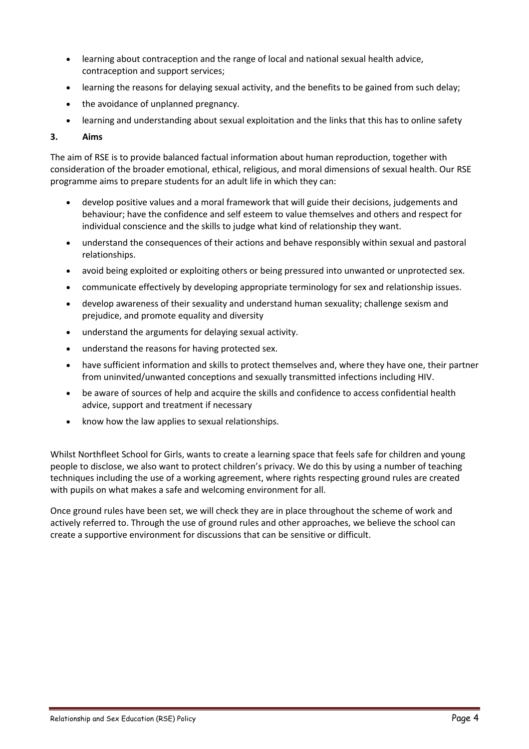- learning about contraception and the range of local and national sexual health advice, contraception and support services;
- learning the reasons for delaying sexual activity, and the benefits to be gained from such delay;
- the avoidance of unplanned pregnancy.
- learning and understanding about sexual exploitation and the links that this has to online safety

# **3. Aims**

The aim of RSE is to provide balanced factual information about human reproduction, together with consideration of the broader emotional, ethical, religious, and moral dimensions of sexual health. Our RSE programme aims to prepare students for an adult life in which they can:

- develop positive values and a moral framework that will guide their decisions, judgements and behaviour; have the confidence and self esteem to value themselves and others and respect for individual conscience and the skills to judge what kind of relationship they want.
- understand the consequences of their actions and behave responsibly within sexual and pastoral relationships.
- avoid being exploited or exploiting others or being pressured into unwanted or unprotected sex.
- communicate effectively by developing appropriate terminology for sex and relationship issues.
- develop awareness of their sexuality and understand human sexuality; challenge sexism and prejudice, and promote equality and diversity
- understand the arguments for delaying sexual activity.
- understand the reasons for having protected sex.
- have sufficient information and skills to protect themselves and, where they have one, their partner from uninvited/unwanted conceptions and sexually transmitted infections including HIV.
- be aware of sources of help and acquire the skills and confidence to access confidential health advice, support and treatment if necessary
- know how the law applies to sexual relationships.

Whilst Northfleet School for Girls, wants to create a learning space that feels safe for children and young people to disclose, we also want to protect children's privacy. We do this by using a number of teaching techniques including the use of a working agreement, where rights respecting ground rules are created with pupils on what makes a safe and welcoming environment for all.

Once ground rules have been set, we will check they are in place throughout the scheme of work and actively referred to. Through the use of ground rules and other approaches, we believe the school can create a supportive environment for discussions that can be sensitive or difficult.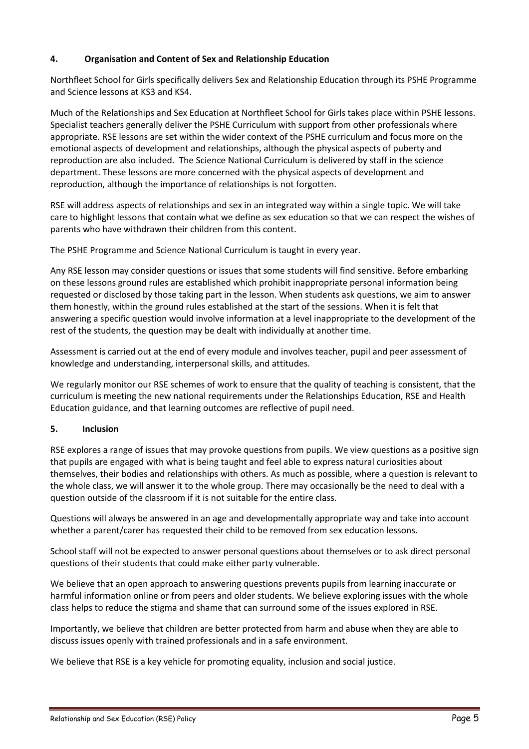# **4. Organisation and Content of Sex and Relationship Education**

Northfleet School for Girls specifically delivers Sex and Relationship Education through its PSHE Programme and Science lessons at KS3 and KS4.

Much of the Relationships and Sex Education at Northfleet School for Girls takes place within PSHE lessons. Specialist teachers generally deliver the PSHE Curriculum with support from other professionals where appropriate. RSE lessons are set within the wider context of the PSHE curriculum and focus more on the emotional aspects of development and relationships, although the physical aspects of puberty and reproduction are also included. The Science National Curriculum is delivered by staff in the science department. These lessons are more concerned with the physical aspects of development and reproduction, although the importance of relationships is not forgotten.

RSE will address aspects of relationships and sex in an integrated way within a single topic. We will take care to highlight lessons that contain what we define as sex education so that we can respect the wishes of parents who have withdrawn their children from this content.

The PSHE Programme and Science National Curriculum is taught in every year.

Any RSE lesson may consider questions or issues that some students will find sensitive. Before embarking on these lessons ground rules are established which prohibit inappropriate personal information being requested or disclosed by those taking part in the lesson. When students ask questions, we aim to answer them honestly, within the ground rules established at the start of the sessions. When it is felt that answering a specific question would involve information at a level inappropriate to the development of the rest of the students, the question may be dealt with individually at another time.

Assessment is carried out at the end of every module and involves teacher, pupil and peer assessment of knowledge and understanding, interpersonal skills, and attitudes.

We regularly monitor our RSE schemes of work to ensure that the quality of teaching is consistent, that the curriculum is meeting the new national requirements under the Relationships Education, RSE and Health Education guidance, and that learning outcomes are reflective of pupil need.

# **5. Inclusion**

RSE explores a range of issues that may provoke questions from pupils. We view questions as a positive sign that pupils are engaged with what is being taught and feel able to express natural curiosities about themselves, their bodies and relationships with others. As much as possible, where a question is relevant to the whole class, we will answer it to the whole group. There may occasionally be the need to deal with a question outside of the classroom if it is not suitable for the entire class.

Questions will always be answered in an age and developmentally appropriate way and take into account whether a parent/carer has requested their child to be removed from sex education lessons.

School staff will not be expected to answer personal questions about themselves or to ask direct personal questions of their students that could make either party vulnerable.

We believe that an open approach to answering questions prevents pupils from learning inaccurate or harmful information online or from peers and older students. We believe exploring issues with the whole class helps to reduce the stigma and shame that can surround some of the issues explored in RSE.

Importantly, we believe that children are better protected from harm and abuse when they are able to discuss issues openly with trained professionals and in a safe environment.

We believe that RSE is a key vehicle for promoting equality, inclusion and social justice.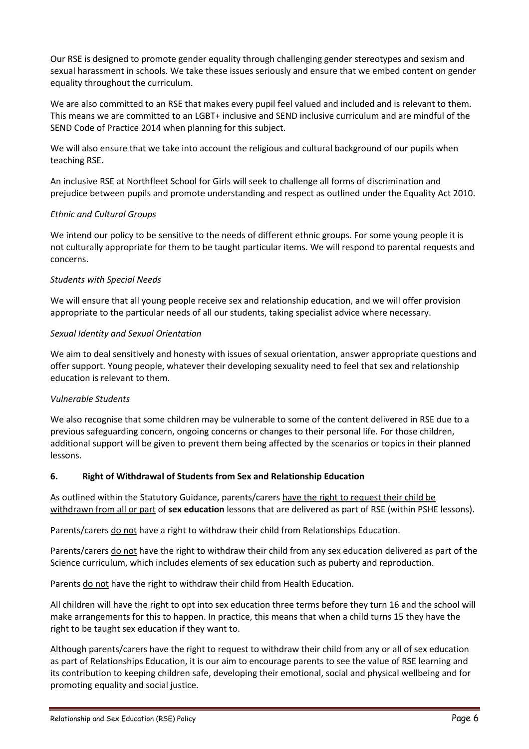Our RSE is designed to promote gender equality through challenging gender stereotypes and sexism and sexual harassment in schools. We take these issues seriously and ensure that we embed content on gender equality throughout the curriculum.

We are also committed to an RSE that makes every pupil feel valued and included and is relevant to them. This means we are committed to an LGBT+ inclusive and SEND inclusive curriculum and are mindful of the SEND Code of Practice 2014 when planning for this subject.

We will also ensure that we take into account the religious and cultural background of our pupils when teaching RSE.

An inclusive RSE at Northfleet School for Girls will seek to challenge all forms of discrimination and prejudice between pupils and promote understanding and respect as outlined under the Equality Act 2010.

# *Ethnic and Cultural Groups*

We intend our policy to be sensitive to the needs of different ethnic groups. For some young people it is not culturally appropriate for them to be taught particular items. We will respond to parental requests and concerns.

#### *Students with Special Needs*

We will ensure that all young people receive sex and relationship education, and we will offer provision appropriate to the particular needs of all our students, taking specialist advice where necessary.

# *Sexual Identity and Sexual Orientation*

We aim to deal sensitively and honesty with issues of sexual orientation, answer appropriate questions and offer support. Young people, whatever their developing sexuality need to feel that sex and relationship education is relevant to them.

#### *Vulnerable Students*

We also recognise that some children may be vulnerable to some of the content delivered in RSE due to a previous safeguarding concern, ongoing concerns or changes to their personal life. For those children, additional support will be given to prevent them being affected by the scenarios or topics in their planned lessons.

#### **6. Right of Withdrawal of Students from Sex and Relationship Education**

As outlined within the Statutory Guidance, parents/carers have the right to request their child be withdrawn from all or part of **sex education** lessons that are delivered as part of RSE (within PSHE lessons).

Parents/carers do not have a right to withdraw their child from Relationships Education.

Parents/carers do not have the right to withdraw their child from any sex education delivered as part of the Science curriculum, which includes elements of sex education such as puberty and reproduction.

Parents do not have the right to withdraw their child from Health Education.

All children will have the right to opt into sex education three terms before they turn 16 and the school will make arrangements for this to happen. In practice, this means that when a child turns 15 they have the right to be taught sex education if they want to.

Although parents/carers have the right to request to withdraw their child from any or all of sex education as part of Relationships Education, it is our aim to encourage parents to see the value of RSE learning and its contribution to keeping children safe, developing their emotional, social and physical wellbeing and for promoting equality and social justice.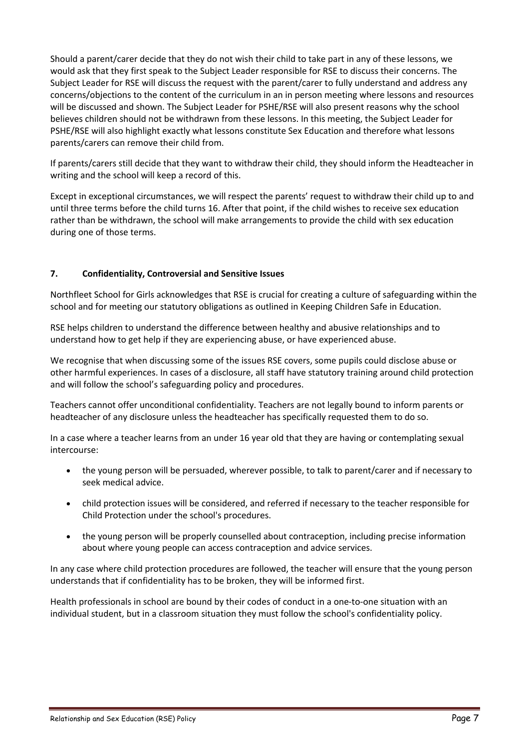Should a parent/carer decide that they do not wish their child to take part in any of these lessons, we would ask that they first speak to the Subject Leader responsible for RSE to discuss their concerns. The Subject Leader for RSE will discuss the request with the parent/carer to fully understand and address any concerns/objections to the content of the curriculum in an in person meeting where lessons and resources will be discussed and shown. The Subject Leader for PSHE/RSE will also present reasons why the school believes children should not be withdrawn from these lessons. In this meeting, the Subject Leader for PSHE/RSE will also highlight exactly what lessons constitute Sex Education and therefore what lessons parents/carers can remove their child from.

If parents/carers still decide that they want to withdraw their child, they should inform the Headteacher in writing and the school will keep a record of this.

Except in exceptional circumstances, we will respect the parents' request to withdraw their child up to and until three terms before the child turns 16. After that point, if the child wishes to receive sex education rather than be withdrawn, the school will make arrangements to provide the child with sex education during one of those terms.

# **7. Confidentiality, Controversial and Sensitive Issues**

Northfleet School for Girls acknowledges that RSE is crucial for creating a culture of safeguarding within the school and for meeting our statutory obligations as outlined in Keeping Children Safe in Education.

RSE helps children to understand the difference between healthy and abusive relationships and to understand how to get help if they are experiencing abuse, or have experienced abuse.

We recognise that when discussing some of the issues RSE covers, some pupils could disclose abuse or other harmful experiences. In cases of a disclosure, all staff have statutory training around child protection and will follow the school's safeguarding policy and procedures.

Teachers cannot offer unconditional confidentiality. Teachers are not legally bound to inform parents or headteacher of any disclosure unless the headteacher has specifically requested them to do so.

In a case where a teacher learns from an under 16 year old that they are having or contemplating sexual intercourse:

- the young person will be persuaded, wherever possible, to talk to parent/carer and if necessary to seek medical advice.
- child protection issues will be considered, and referred if necessary to the teacher responsible for Child Protection under the school's procedures.
- the young person will be properly counselled about contraception, including precise information about where young people can access contraception and advice services.

In any case where child protection procedures are followed, the teacher will ensure that the young person understands that if confidentiality has to be broken, they will be informed first.

Health professionals in school are bound by their codes of conduct in a one-to-one situation with an individual student, but in a classroom situation they must follow the school's confidentiality policy.